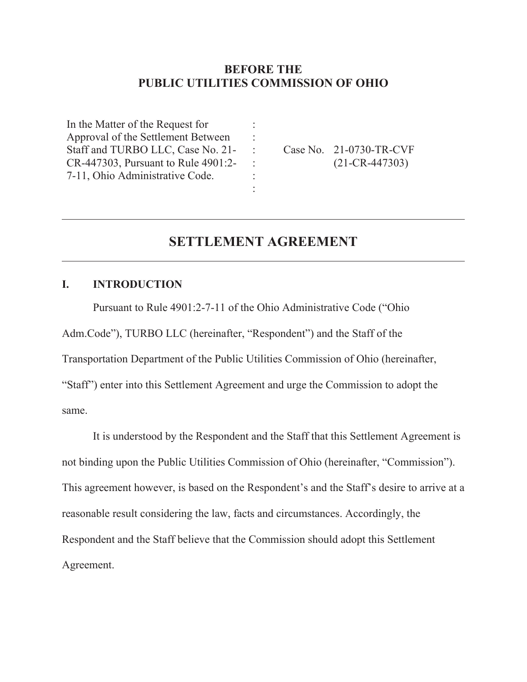## **BEFORE THE PUBLIC UTILITIES COMMISSION OF OHIO**

: : : : : :

In the Matter of the Request for Approval of the Settlement Between Staff and TURBO LLC, Case No. 21- CR-447303, Pursuant to Rule 4901:2- 7-11, Ohio Administrative Code.

Case No. 21-0730-TR-CVF (21-CR-447303)

# **SETTLEMENT AGREEMENT**

### **I. INTRODUCTION**

 $\overline{a}$ 

Pursuant to Rule 4901:2-7-11 of the Ohio Administrative Code ("Ohio

Adm.Code"), TURBO LLC (hereinafter, "Respondent") and the Staff of the

Transportation Department of the Public Utilities Commission of Ohio (hereinafter,

"Staff") enter into this Settlement Agreement and urge the Commission to adopt the same.

It is understood by the Respondent and the Staff that this Settlement Agreement is not binding upon the Public Utilities Commission of Ohio (hereinafter, "Commission"). This agreement however, is based on the Respondent's and the Staff's desire to arrive at a reasonable result considering the law, facts and circumstances. Accordingly, the Respondent and the Staff believe that the Commission should adopt this Settlement Agreement.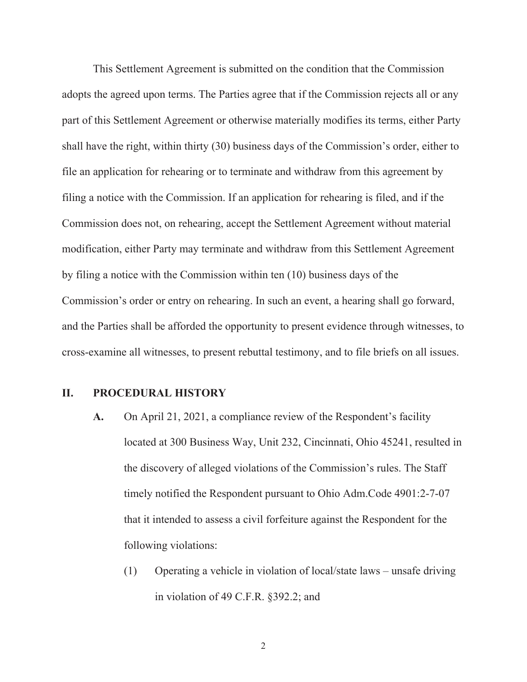This Settlement Agreement is submitted on the condition that the Commission adopts the agreed upon terms. The Parties agree that if the Commission rejects all or any part of this Settlement Agreement or otherwise materially modifies its terms, either Party shall have the right, within thirty (30) business days of the Commission's order, either to file an application for rehearing or to terminate and withdraw from this agreement by filing a notice with the Commission. If an application for rehearing is filed, and if the Commission does not, on rehearing, accept the Settlement Agreement without material modification, either Party may terminate and withdraw from this Settlement Agreement by filing a notice with the Commission within ten (10) business days of the Commission's order or entry on rehearing. In such an event, a hearing shall go forward, and the Parties shall be afforded the opportunity to present evidence through witnesses, to cross-examine all witnesses, to present rebuttal testimony, and to file briefs on all issues.

## **II. PROCEDURAL HISTORY**

- **A.** On April 21, 2021, a compliance review of the Respondent's facility located at 300 Business Way, Unit 232, Cincinnati, Ohio 45241, resulted in the discovery of alleged violations of the Commission's rules. The Staff timely notified the Respondent pursuant to Ohio Adm.Code 4901:2-7-07 that it intended to assess a civil forfeiture against the Respondent for the following violations:
	- (1) Operating a vehicle in violation of local/state laws unsafe driving in violation of 49 C.F.R. §392.2; and

2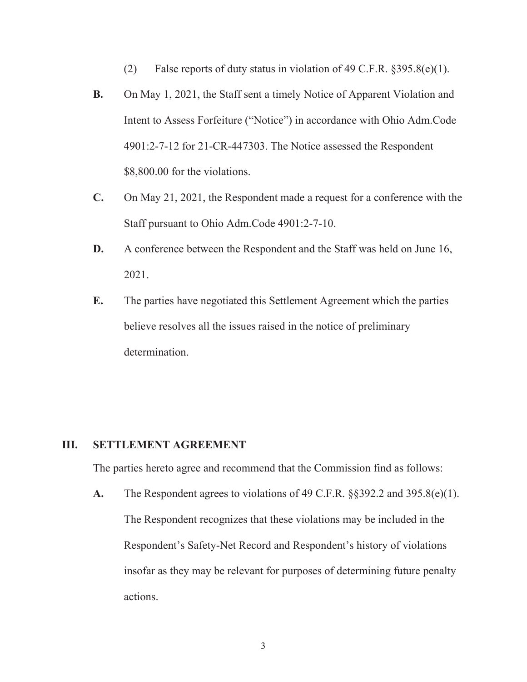- (2) False reports of duty status in violation of 49 C.F.R.  $§395.8(e)(1)$ .
- **B.** On May 1, 2021, the Staff sent a timely Notice of Apparent Violation and Intent to Assess Forfeiture ("Notice") in accordance with Ohio Adm.Code 4901:2-7-12 for 21-CR-447303. The Notice assessed the Respondent \$8,800.00 for the violations.
- **C.** On May 21, 2021, the Respondent made a request for a conference with the Staff pursuant to Ohio Adm.Code 4901:2-7-10.
- **D.** A conference between the Respondent and the Staff was held on June 16, 2021.
- **E.** The parties have negotiated this Settlement Agreement which the parties believe resolves all the issues raised in the notice of preliminary determination.

#### **III. SETTLEMENT AGREEMENT**

The parties hereto agree and recommend that the Commission find as follows:

**A.** The Respondent agrees to violations of 49 C.F.R. §§392.2 and 395.8(e)(1). The Respondent recognizes that these violations may be included in the Respondent's Safety-Net Record and Respondent's history of violations insofar as they may be relevant for purposes of determining future penalty actions.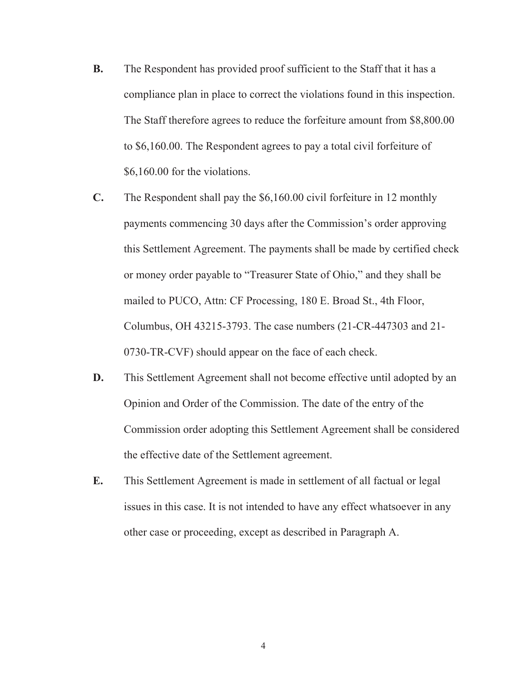- **B.** The Respondent has provided proof sufficient to the Staff that it has a compliance plan in place to correct the violations found in this inspection. The Staff therefore agrees to reduce the forfeiture amount from \$8,800.00 to \$6,160.00. The Respondent agrees to pay a total civil forfeiture of \$6,160.00 for the violations.
- **C.** The Respondent shall pay the \$6,160.00 civil forfeiture in 12 monthly payments commencing 30 days after the Commission's order approving this Settlement Agreement. The payments shall be made by certified check or money order payable to "Treasurer State of Ohio," and they shall be mailed to PUCO, Attn: CF Processing, 180 E. Broad St., 4th Floor, Columbus, OH 43215-3793. The case numbers (21-CR-447303 and 21- 0730-TR-CVF) should appear on the face of each check.
- **D.** This Settlement Agreement shall not become effective until adopted by an Opinion and Order of the Commission. The date of the entry of the Commission order adopting this Settlement Agreement shall be considered the effective date of the Settlement agreement.
- **E.** This Settlement Agreement is made in settlement of all factual or legal issues in this case. It is not intended to have any effect whatsoever in any other case or proceeding, except as described in Paragraph A.

4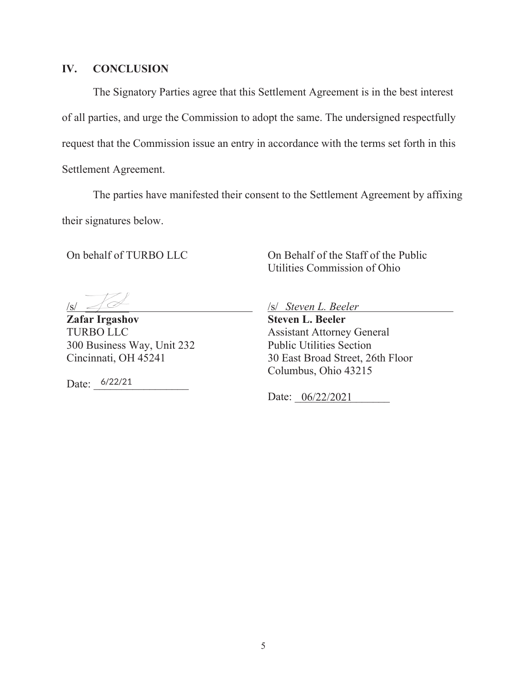#### **IV. CONCLUSION**

The Signatory Parties agree that this Settlement Agreement is in the best interest of all parties, and urge the Commission to adopt the same. The undersigned respectfully request that the Commission issue an entry in accordance with the terms set forth in this Settlement Agreement.

The parties have manifested their consent to the Settlement Agreement by affixing their signatures below.

On behalf of TURBO LLC

On Behalf of the Staff of the Public Utilities Commission of Ohio

 $/s/$ 

**Zafar Irgashov**  TURBO LLC 300 Business Way, Unit 232 Cincinnati, OH 45241

Date:  $6/22/21$ 

/s/ *Steven L. Beeler*

**Steven L. Beeler**  Assistant Attorney General Public Utilities Section 30 East Broad Street, 26th Floor Columbus, Ohio 43215

Date: 06/22/2021